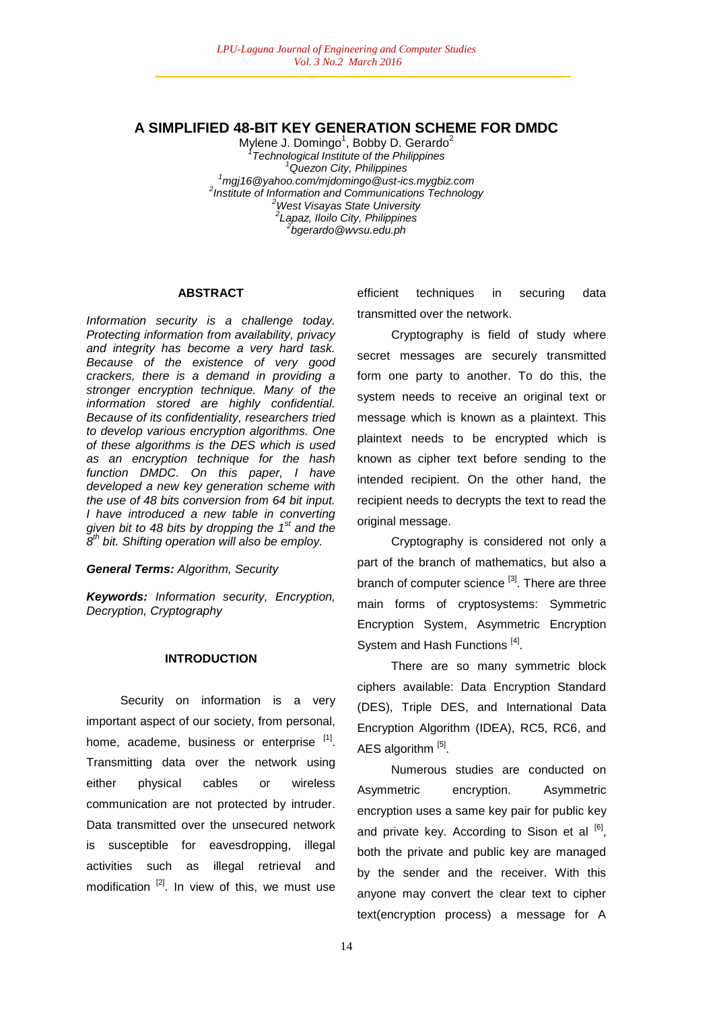### **A SIMPLIFIED 48-BIT KEY GENERATION SCHEME FOR DMDC**

Mylene J. Domingo<sup>1</sup>, Bobby D. Gerardo<sup>2</sup> *Technological Institute of the Philippines Quezon City, Philippines mgj16@yahoo.com/mjdomingo@ust-ics.mygbiz.com Institute of Information and Communications Technology West Visayas State University Lapaz, Iloilo City, Philippines bgerardo@wvsu.edu.ph*

#### **ABSTRACT**

*Information security is a challenge today. Protecting information from availability, privacy and integrity has become a very hard task. Because of the existence of very good crackers, there is a demand in providing a stronger encryption technique. Many of the information stored are highly confidential. Because of its confidentiality, researchers tried to develop various encryption algorithms. One of these algorithms is the DES which is used as an encryption technique for the hash function DMDC. On this paper, I have developed a new key generation scheme with the use of 48 bits conversion from 64 bit input. I have introduced a new table in converting given bit to 48 bits by dropping the 1st and the*   $\delta^{th}$  bit. Shifting operation will also be employ.

*General Terms: Algorithm, Security*

*Keywords: Information security, Encryption, Decryption, Cryptography*

### **INTRODUCTION**

Security on information is a very important aspect of our society, from personal, home, academe, business or enterprise <sup>[1]</sup>. Transmitting data over the network using either physical cables or wireless communication are not protected by intruder. Data transmitted over the unsecured network is susceptible for eavesdropping, illegal activities such as illegal retrieval and modification  $^{[2]}$ . In view of this, we must use

efficient techniques in securing data transmitted over the network.

Cryptography is field of study where secret messages are securely transmitted form one party to another. To do this, the system needs to receive an original text or message which is known as a plaintext. This plaintext needs to be encrypted which is known as cipher text before sending to the intended recipient. On the other hand, the recipient needs to decrypts the text to read the original message.

Cryptography is considered not only a part of the branch of mathematics, but also a branch of computer science [3]. There are three main forms of cryptosystems: Symmetric Encryption System, Asymmetric Encryption System and Hash Functions<sup>[4]</sup>.

There are so many symmetric block ciphers available: Data Encryption Standard (DES), Triple DES, and International Data Encryption Algorithm (IDEA), RC5, RC6, and AES algorithm [5].

Numerous studies are conducted on Asymmetric encryption. Asymmetric encryption uses a same key pair for public key and private key. According to Sison et al  $[6]$ , both the private and public key are managed by the sender and the receiver. With this anyone may convert the clear text to cipher text(encryption process) a message for A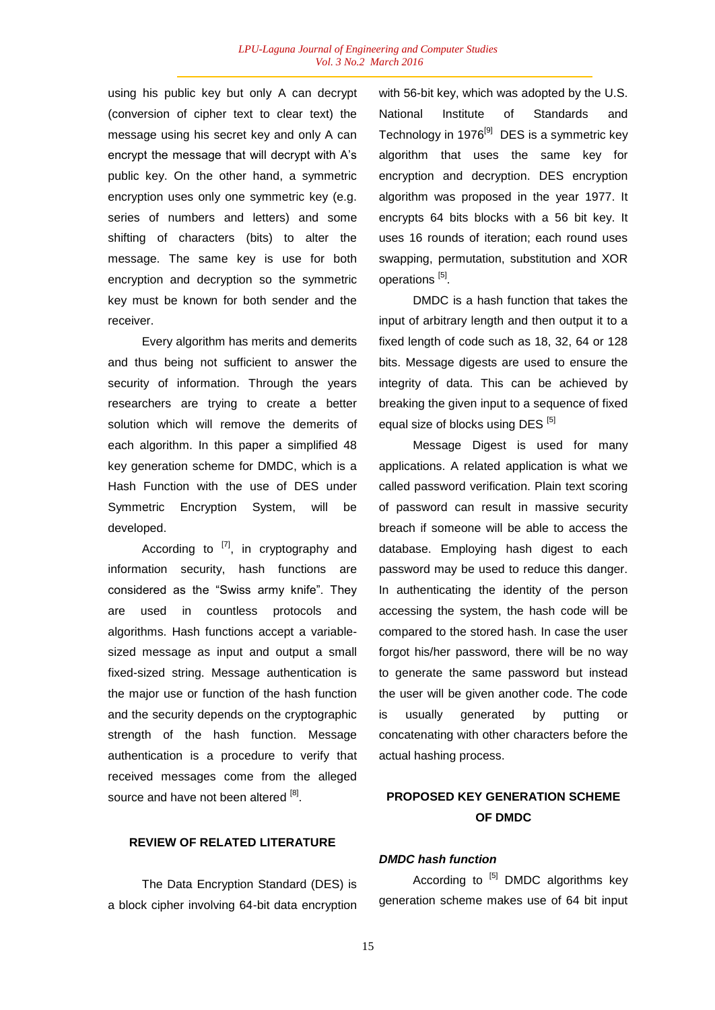using his public key but only A can decrypt (conversion of cipher text to clear text) the message using his secret key and only A can encrypt the message that will decrypt with A's public key. On the other hand, a symmetric encryption uses only one symmetric key (e.g. series of numbers and letters) and some shifting of characters (bits) to alter the message. The same key is use for both encryption and decryption so the symmetric key must be known for both sender and the receiver.

Every algorithm has merits and demerits and thus being not sufficient to answer the security of information. Through the years researchers are trying to create a better solution which will remove the demerits of each algorithm. In this paper a simplified 48 key generation scheme for DMDC, which is a Hash Function with the use of DES under Symmetric Encryption System, will be developed.

According to  $^{[7]}$ , in cryptography and information security, hash functions are considered as the "Swiss army knife". They are used in countless protocols and algorithms. Hash functions accept a variablesized message as input and output a small fixed-sized string. Message authentication is the major use or function of the hash function and the security depends on the cryptographic strength of the hash function. Message authentication is a procedure to verify that received messages come from the alleged source and have not been altered [8].

**REVIEW OF RELATED LITERATURE**

The Data Encryption Standard (DES) is a block cipher involving 64-bit data encryption with 56-bit key, which was adopted by the U.S. National Institute of Standards and Technology in 1976<sup>[9]</sup> DES is a symmetric key algorithm that uses the same key for encryption and decryption. DES encryption algorithm was proposed in the year 1977. It encrypts 64 bits blocks with a 56 bit key. It uses 16 rounds of iteration; each round uses swapping, permutation, substitution and XOR operations [5].

DMDC is a hash function that takes the input of arbitrary length and then output it to a fixed length of code such as 18, 32, 64 or 128 bits. Message digests are used to ensure the integrity of data. This can be achieved by breaking the given input to a sequence of fixed equal size of blocks using DES<sup>[5]</sup>

Message Digest is used for many applications. A related application is what we called password verification. Plain text scoring of password can result in massive security breach if someone will be able to access the database. Employing hash digest to each password may be used to reduce this danger. In authenticating the identity of the person accessing the system, the hash code will be compared to the stored hash. In case the user forgot his/her password, there will be no way to generate the same password but instead the user will be given another code. The code is usually generated by putting or concatenating with other characters before the actual hashing process.

# **PROPOSED KEY GENERATION SCHEME OF DMDC**

## *DMDC hash function*

According to  $[5]$  DMDC algorithms key generation scheme makes use of 64 bit input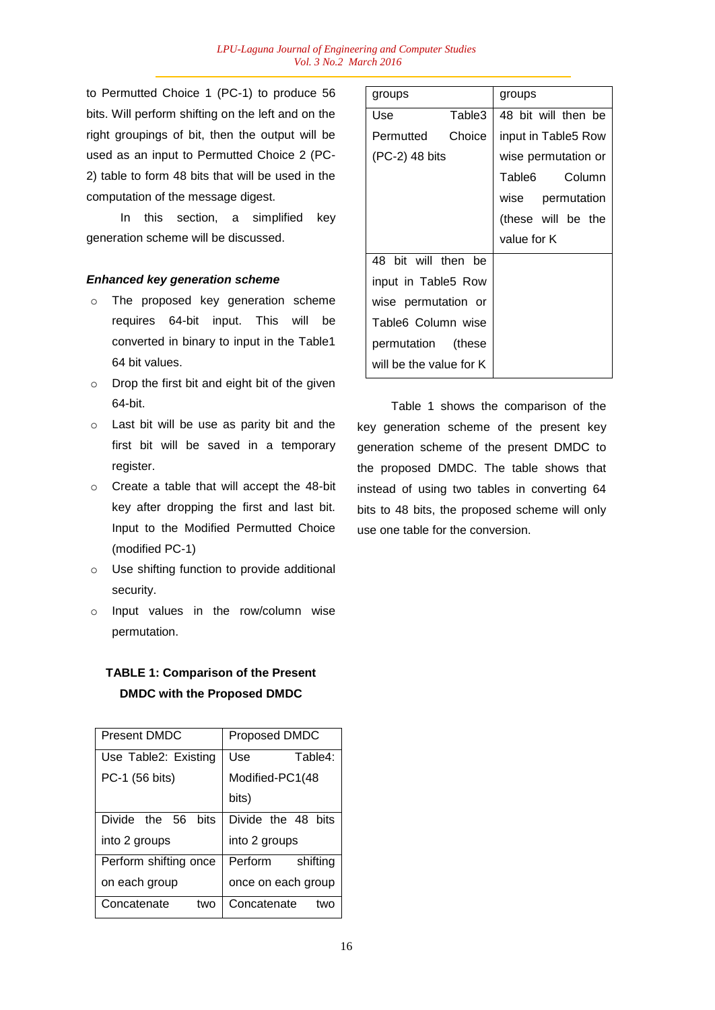to Permutted Choice 1 (PC-1) to produce 56 bits. Will perform shifting on the left and on the right groupings of bit, then the output will be used as an input to Permutted Choice 2 (PC-2) table to form 48 bits that will be used in the computation of the message digest.

In this section, a simplified key generation scheme will be discussed.

## *Enhanced key generation scheme*

- o The proposed key generation scheme requires 64-bit input. This will be converted in binary to input in the Table1 64 bit values.
- o Drop the first bit and eight bit of the given 64-bit.
- o Last bit will be use as parity bit and the first bit will be saved in a temporary register.
- o Create a table that will accept the 48-bit key after dropping the first and last bit. Input to the Modified Permutted Choice (modified PC-1)
- o Use shifting function to provide additional security.
- o Input values in the row/column wise permutation.

# **TABLE 1: Comparison of the Present DMDC with the Proposed DMDC**

| Present DMDC          | <b>Proposed DMDC</b> |
|-----------------------|----------------------|
| Use Table2: Existing  | Table4:<br>Use       |
| PC-1 (56 bits)        | Modified-PC1(48      |
|                       | bits)                |
| Divide the 56<br>bits | Divide the 48 bits   |
| into 2 groups         | into 2 groups        |
| Perform shifting once | Perform<br>shifting  |
| on each group         | once on each group   |
| Concatenate<br>two    | Concatenate<br>two   |

| groups                  |        | groups              |
|-------------------------|--------|---------------------|
| Use                     | Table3 | 48 bit will then be |
| Permutted Choice        |        | input in Table5 Row |
| (PC-2) 48 bits          |        | wise permutation or |
|                         |        | Table6 Column       |
|                         |        | wise permutation    |
|                         |        | (these will be the  |
|                         |        | value for K         |
| 48 bit will then be     |        |                     |
| input in Table5 Row     |        |                     |
| wise permutation or     |        |                     |
| Table6 Column wise      |        |                     |
| permutation (these      |        |                     |
| will be the value for K |        |                     |

Table 1 shows the comparison of the key generation scheme of the present key generation scheme of the present DMDC to the proposed DMDC. The table shows that instead of using two tables in converting 64 bits to 48 bits, the proposed scheme will only use one table for the conversion.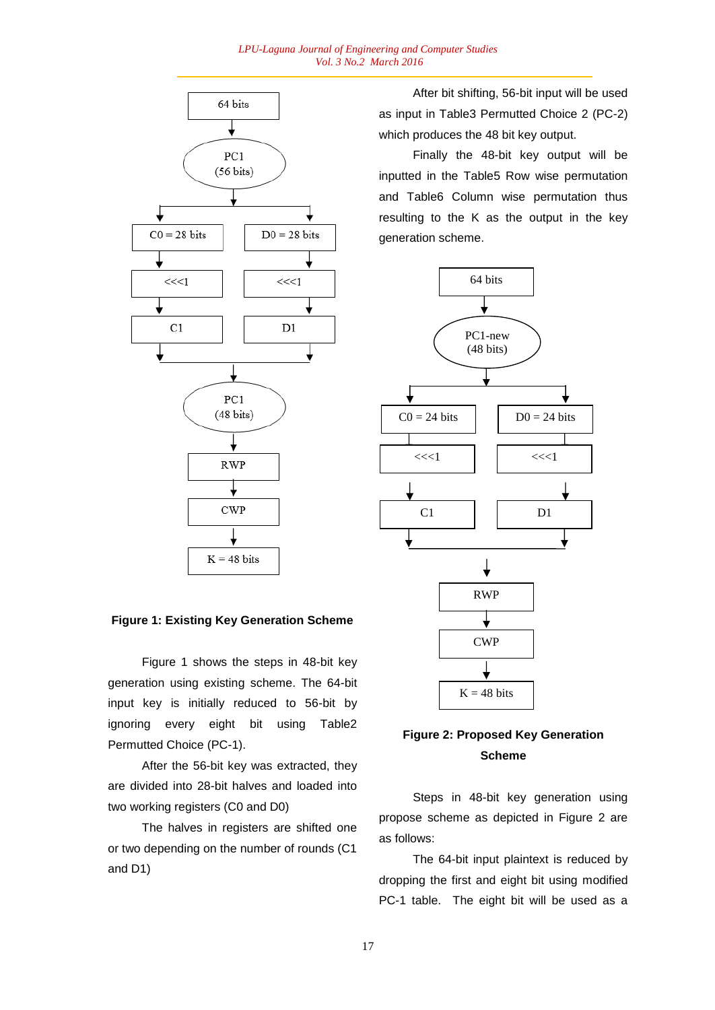

#### **Figure 1: Existing Key Generation Scheme**

Figure 1 shows the steps in 48-bit key generation using existing scheme. The 64-bit input key is initially reduced to 56-bit by ignoring every eight bit using Table2 Permutted Choice (PC-1).

After the 56-bit key was extracted, they are divided into 28-bit halves and loaded into two working registers (C0 and D0)

The halves in registers are shifted one or two depending on the number of rounds (C1 and D1)

After bit shifting, 56-bit input will be used as input in Table3 Permutted Choice 2 (PC-2) which produces the 48 bit key output.

Finally the 48-bit key output will be inputted in the Table5 Row wise permutation and Table6 Column wise permutation thus resulting to the K as the output in the key generation scheme.





Steps in 48-bit key generation using propose scheme as depicted in Figure 2 are as follows:

The 64-bit input plaintext is reduced by dropping the first and eight bit using modified PC-1 table. The eight bit will be used as a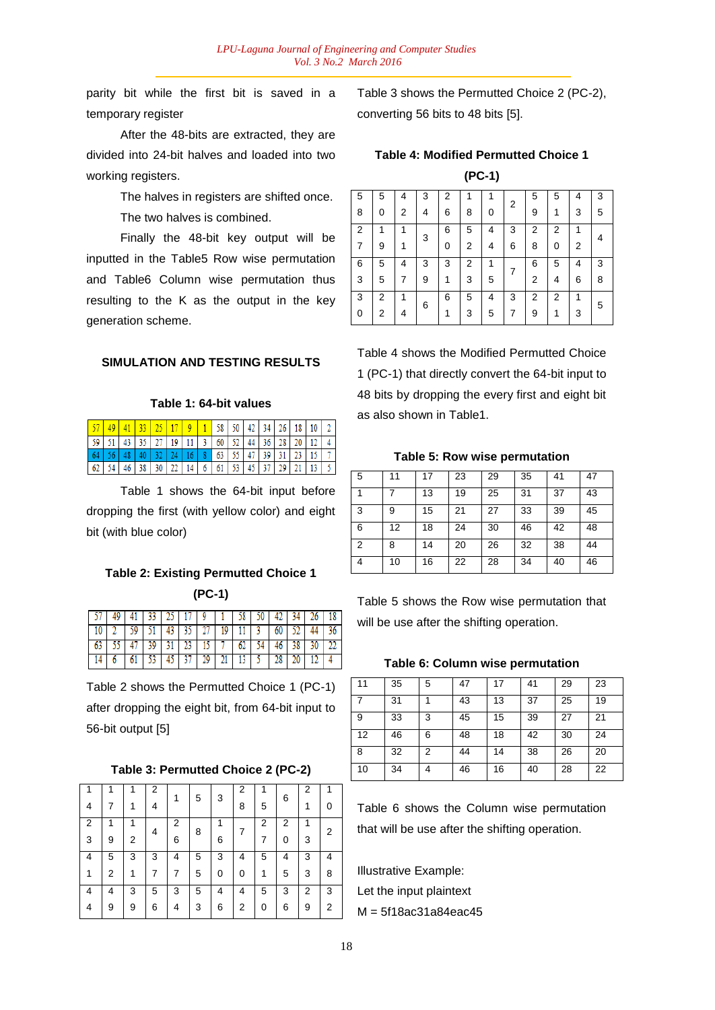parity bit while the first bit is saved in a temporary register

After the 48-bits are extracted, they are divided into 24-bit halves and loaded into two working registers.

> The halves in registers are shifted once. The two halves is combined.

Finally the 48-bit key output will be inputted in the Table5 Row wise permutation and Table6 Column wise permutation thus resulting to the K as the output in the key generation scheme.

#### **SIMULATION AND TESTING RESULTS**

### **Table 1: 64-bit values**

|  | $141$ 33 25 17                                                            |  |  |  |  |  | 58 50 42 34 26 18 10 2 |  |
|--|---------------------------------------------------------------------------|--|--|--|--|--|------------------------|--|
|  | 59 51 43 35 27 19 11 3 60 52 44 36 28 20 12 4                             |  |  |  |  |  |                        |  |
|  | 64 56 48 40 32 24 16 8 63 55 47 39 31 23 15                               |  |  |  |  |  |                        |  |
|  | $62$   54   46   38   30   22   14   6   61   53   45   37   29   21   13 |  |  |  |  |  |                        |  |

Table 1 shows the 64-bit input before dropping the first (with yellow color) and eight bit (with blue color)

# **Table 2: Existing Permutted Choice 1 (PC-1)**

|     | 49. |              | 33.    |     | 12511779           |      |      | 58.    | 50. | 42. L | -34  | 26.  |    |
|-----|-----|--------------|--------|-----|--------------------|------|------|--------|-----|-------|------|------|----|
|     |     | $1 - 59 + 5$ | 51 L.  |     | 43 35 27 19        |      |      | - 11 - |     | 60    |      | 44   | 36 |
| 63. |     | 47 I         | - 39 - |     | $31 \ 23 \ 15 \ 7$ |      |      | 62     | 54  |       | 38 I | - 30 |    |
|     |     |              |        | -45 | -37                | 29 I | 21 L |        |     |       |      |      |    |

Table 2 shows the Permutted Choice 1 (PC-1) after dropping the eight bit, from 64-bit input to 56-bit output [5]

### **Table 3: Permutted Choice 2 (PC-2)**

|                |   |   | 2 |   | 5 | 3 | 2 |   | 6 | 2 |   |
|----------------|---|---|---|---|---|---|---|---|---|---|---|
| 4              | 7 |   | 4 | 1 |   |   | 8 | 5 |   | 1 | n |
| $\overline{2}$ | 1 |   | 4 | 2 | 8 |   | 7 | 2 | 2 | 1 | 2 |
| 3              | 9 | 2 |   | 6 |   | 6 |   | 7 | ŋ | 3 |   |
| 4              | 5 | 3 | 3 | 4 | 5 | 3 | 4 | 5 | 4 | 3 |   |
| 1              | 2 |   | 7 | 7 | 5 | 0 | 0 |   | 5 | 3 | 8 |
| 4              | 4 | 3 | 5 | 3 | 5 | 4 | 4 | 5 | 3 | 2 | 3 |
| 4              | 9 | 9 | 6 | 4 | 3 | 6 | 2 | 0 | 6 | 9 | 2 |
|                |   |   |   |   |   |   |   |   |   |   |   |

Table 3 shows the Permutted Choice 2 (PC-2), converting 56 bits to 48 bits [5].

**Table 4: Modified Permutted Choice 1 (PC-1)**

| 5 | 5 | 4 | 3 | 2 |   |   |   | 5 | 5 | 4 | 3 |
|---|---|---|---|---|---|---|---|---|---|---|---|
| 8 | 0 | 2 | 4 | 6 | 8 | 0 | 2 | 9 | 1 | 3 | 5 |
| 2 | 1 |   | 3 | 6 | 5 | 4 | 3 | 2 | 2 |   |   |
| 7 | 9 | 1 |   | 0 | 2 | 4 | 6 | 8 | 0 | 2 |   |
| 6 | 5 | 4 | 3 | 3 | 2 |   | 7 | 6 | 5 | 4 | 3 |
| 3 | 5 |   | 9 | 1 | 3 | 5 |   | 2 | 4 | 6 | 8 |
| 3 | 2 | 1 | 6 | 6 | 5 | 4 | 3 | 2 | 2 |   | 5 |
| 0 | 2 | 4 |   | 1 | 3 | 5 | 7 | 9 | 1 | 3 |   |

Table 4 shows the Modified Permutted Choice 1 (PC-1) that directly convert the 64-bit input to 48 bits by dropping the every first and eight bit as also shown in Table1.

**Table 5: Row wise permutation**

| 5              | 11 | 17 | 23 | 29 | 35 | 41 | 47 |
|----------------|----|----|----|----|----|----|----|
|                |    | 13 | 19 | 25 | 31 | 37 | 43 |
| 3              | 9  | 15 | 21 | 27 | 33 | 39 | 45 |
| 6              | 12 | 18 | 24 | 30 | 46 | 42 | 48 |
| $\overline{2}$ | 8  | 14 | 20 | 26 | 32 | 38 | 44 |
| 4              | 10 | 16 | 22 | 28 | 34 | 40 | 46 |

Table 5 shows the Row wise permutation that will be use after the shifting operation.

|  |  | Table 6: Column wise permutation |
|--|--|----------------------------------|
|  |  |                                  |

| 11 | 35 | 5 | 47 | 17 | 41 | 29 | 23 |
|----|----|---|----|----|----|----|----|
|    | 31 |   | 43 | 13 | 37 | 25 | 19 |
| 9  | 33 | 3 | 45 | 15 | 39 | 27 | 21 |
| 12 | 46 | 6 | 48 | 18 | 42 | 30 | 24 |
| 8  | 32 | 2 | 44 | 14 | 38 | 26 | 20 |
| 10 | 34 | 4 | 46 | 16 | 40 | 28 | 22 |

Table 6 shows the Column wise permutation that will be use after the shifting operation.

Illustrative Example: Let the input plaintext M = 5f18ac31a84eac45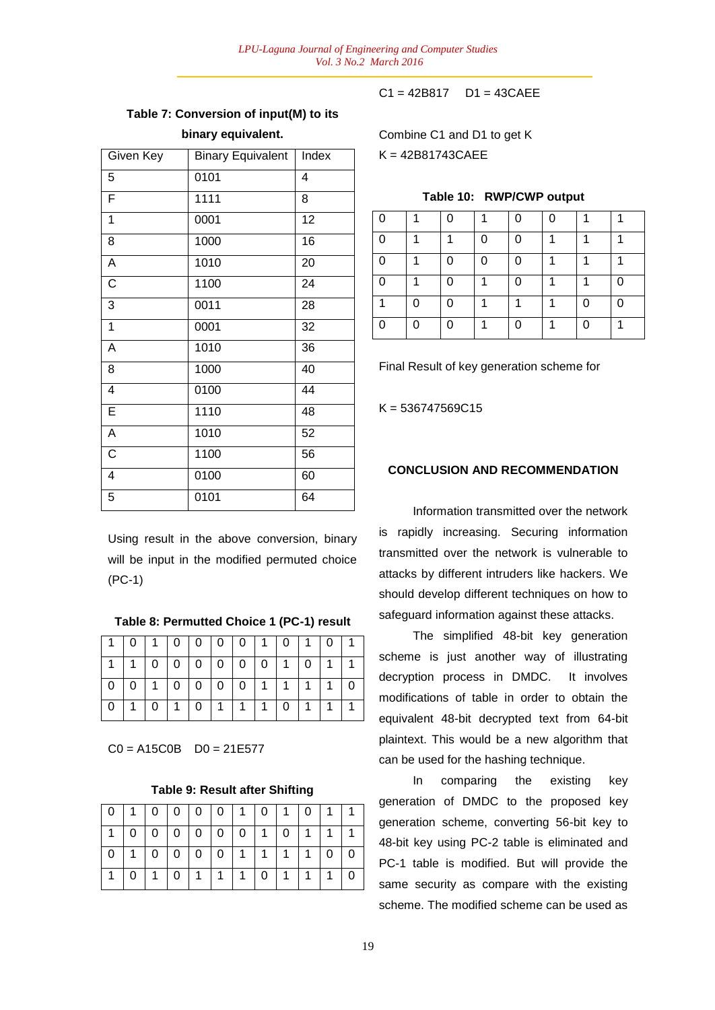| Table 7: Conversion of input(M) to its |
|----------------------------------------|
| عممامين بيمم يسمعنها                   |

| <b>Dillary equivalent.</b> |                          |       |  |  |  |  |  |  |  |  |
|----------------------------|--------------------------|-------|--|--|--|--|--|--|--|--|
| Given Key                  | <b>Binary Equivalent</b> | Index |  |  |  |  |  |  |  |  |
| 5                          | 0101                     | 4     |  |  |  |  |  |  |  |  |
| F                          | 1111                     | 8     |  |  |  |  |  |  |  |  |
| $\overline{1}$             | 0001                     | 12    |  |  |  |  |  |  |  |  |
| 8                          | 1000                     | 16    |  |  |  |  |  |  |  |  |
| A                          | 1010                     | 20    |  |  |  |  |  |  |  |  |
| $\overline{\text{c}}$      | 1100                     | 24    |  |  |  |  |  |  |  |  |
| 3                          | 0011                     | 28    |  |  |  |  |  |  |  |  |
| $\mathbf{1}$               | 0001                     | 32    |  |  |  |  |  |  |  |  |
| A                          | 1010                     | 36    |  |  |  |  |  |  |  |  |
| 8                          | 1000                     | 40    |  |  |  |  |  |  |  |  |
| 4                          | 0100                     | 44    |  |  |  |  |  |  |  |  |
| E                          | 1110                     | 48    |  |  |  |  |  |  |  |  |
| A                          | 1010                     | 52    |  |  |  |  |  |  |  |  |
| C                          | 1100                     | 56    |  |  |  |  |  |  |  |  |
| 4                          | 0100                     | 60    |  |  |  |  |  |  |  |  |
| 5                          | 0101                     | 64    |  |  |  |  |  |  |  |  |

Using result in the above conversion, binary will be input in the modified permuted choice (PC-1)

**Table 8: Permutted Choice 1 (PC-1) result**

| $\overline{0}$ |                 |   | 1 0 0 0 0 1 0  |             |   |          | 1. | $\overline{0}$ |  |
|----------------|-----------------|---|----------------|-------------|---|----------|----|----------------|--|
|                | 0 0 0 0 0 0 1 0 |   |                |             |   |          |    | $\mathbf{1}$   |  |
| 0 <sub>1</sub> |                 |   | 1 0 0 0 0      | $\mathbf 0$ | 1 | l 1      |    |                |  |
|                | l 0             | 1 | $\overline{0}$ | $1 \quad 1$ |   | <b>O</b> |    |                |  |

 $CO = A15COB$   $DO = 21E577$ 

|  |  |  | <b>Table 9: Result after Shifting</b> |
|--|--|--|---------------------------------------|
|--|--|--|---------------------------------------|

|                                       |  |  | 1 0 0 0 0 0 1 0 1 0     |  |  |  |
|---------------------------------------|--|--|-------------------------|--|--|--|
| 0   0   0   0   0   0   1   0   1   1 |  |  |                         |  |  |  |
|                                       |  |  | 1 0 0 0 0 0 1 1 1 1 1 0 |  |  |  |
|                                       |  |  | 1 0 1 1 1 0 1 1 1 1     |  |  |  |

## $C1 = 42B817$   $D1 = 43CAEE$

Combine C1 and D1 to get K K = 42B81743CAEE

| - 0 | 0 |   | 0 |   |  |
|-----|---|---|---|---|--|
| ∩   | 1 | 0 | 0 |   |  |
| ſ   | 0 |   | 0 |   |  |
|     | 0 |   | 0 |   |  |
|     | 0 |   |   | 0 |  |
|     |   |   | 0 |   |  |

**Table 10: RWP/CWP output**

Final Result of key generation scheme for

 $K = 536747569C15$ 

## **CONCLUSION AND RECOMMENDATION**

Information transmitted over the network is rapidly increasing. Securing information transmitted over the network is vulnerable to attacks by different intruders like hackers. We should develop different techniques on how to safeguard information against these attacks.

The simplified 48-bit key generation scheme is just another way of illustrating decryption process in DMDC. It involves modifications of table in order to obtain the equivalent 48-bit decrypted text from 64-bit plaintext. This would be a new algorithm that can be used for the hashing technique.

In comparing the existing key generation of DMDC to the proposed key generation scheme, converting 56-bit key to 48-bit key using PC-2 table is eliminated and PC-1 table is modified. But will provide the same security as compare with the existing scheme. The modified scheme can be used as